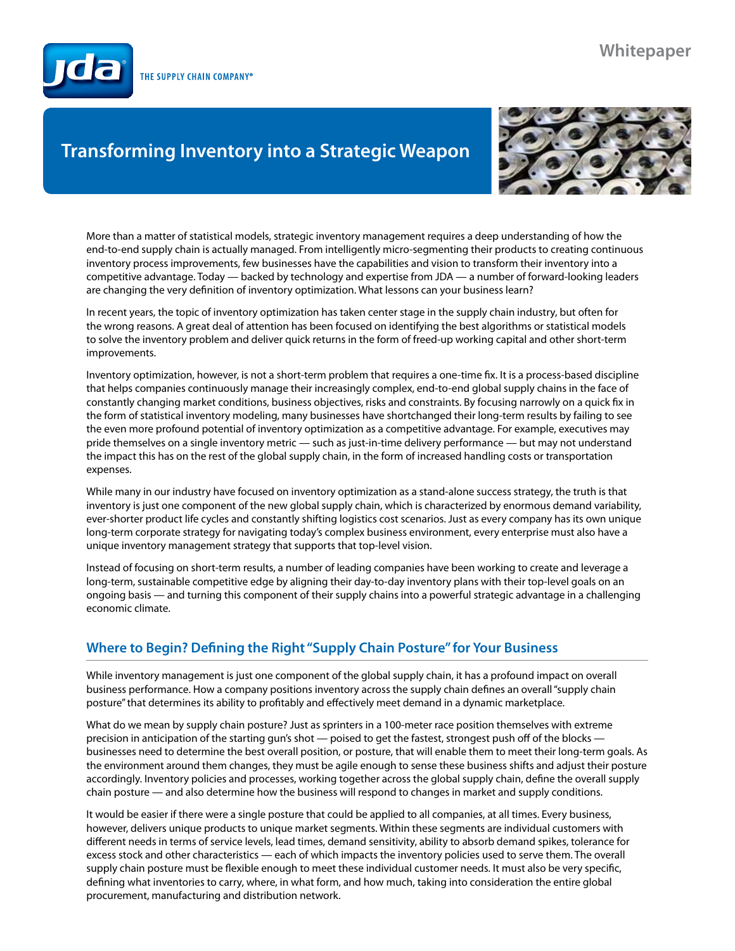# **Whitepaper**

THE SUPPLY CHAIN COMPANY®

# **Transforming Inventory into a Strategic Weapon**



More than a matter of statistical models, strategic inventory management requires a deep understanding of how the end-to-end supply chain is actually managed. From intelligently micro-segmenting their products to creating continuous inventory process improvements, few businesses have the capabilities and vision to transform their inventory into a competitive advantage. Today — backed by technology and expertise from JDA — a number of forward-looking leaders are changing the very definition of inventory optimization. What lessons can your business learn?

In recent years, the topic of inventory optimization has taken center stage in the supply chain industry, but often for the wrong reasons. A great deal of attention has been focused on identifying the best algorithms or statistical models to solve the inventory problem and deliver quick returns in the form of freed-up working capital and other short-term improvements.

Inventory optimization, however, is not a short-term problem that requires a one-time fix. It is a process-based discipline that helps companies continuously manage their increasingly complex, end-to-end global supply chains in the face of constantly changing market conditions, business objectives, risks and constraints. By focusing narrowly on a quick fix in the form of statistical inventory modeling, many businesses have shortchanged their long-term results by failing to see the even more profound potential of inventory optimization as a competitive advantage. For example, executives may pride themselves on a single inventory metric — such as just-in-time delivery performance — but may not understand the impact this has on the rest of the global supply chain, in the form of increased handling costs or transportation expenses.

While many in our industry have focused on inventory optimization as a stand-alone success strategy, the truth is that inventory is just one component of the new global supply chain, which is characterized by enormous demand variability, ever-shorter product life cycles and constantly shifting logistics cost scenarios. Just as every company has its own unique long-term corporate strategy for navigating today's complex business environment, every enterprise must also have a unique inventory management strategy that supports that top-level vision.

Instead of focusing on short-term results, a number of leading companies have been working to create and leverage a long-term, sustainable competitive edge by aligning their day-to-day inventory plans with their top-level goals on an ongoing basis — and turning this component of their supply chains into a powerful strategic advantage in a challenging economic climate.

# **Where to Begin? Defining the Right "Supply Chain Posture" for Your Business**

While inventory management is just one component of the global supply chain, it has a profound impact on overall business performance. How a company positions inventory across the supply chain defines an overall "supply chain posture" that determines its ability to profitably and effectively meet demand in a dynamic marketplace.

What do we mean by supply chain posture? Just as sprinters in a 100-meter race position themselves with extreme precision in anticipation of the starting gun's shot — poised to get the fastest, strongest push off of the blocks businesses need to determine the best overall position, or posture, that will enable them to meet their long-term goals. As the environment around them changes, they must be agile enough to sense these business shifts and adjust their posture accordingly. Inventory policies and processes, working together across the global supply chain, define the overall supply chain posture — and also determine how the business will respond to changes in market and supply conditions.

It would be easier if there were a single posture that could be applied to all companies, at all times. Every business, however, delivers unique products to unique market segments. Within these segments are individual customers with different needs in terms of service levels, lead times, demand sensitivity, ability to absorb demand spikes, tolerance for excess stock and other characteristics — each of which impacts the inventory policies used to serve them. The overall supply chain posture must be flexible enough to meet these individual customer needs. It must also be very specific, defining what inventories to carry, where, in what form, and how much, taking into consideration the entire global procurement, manufacturing and distribution network.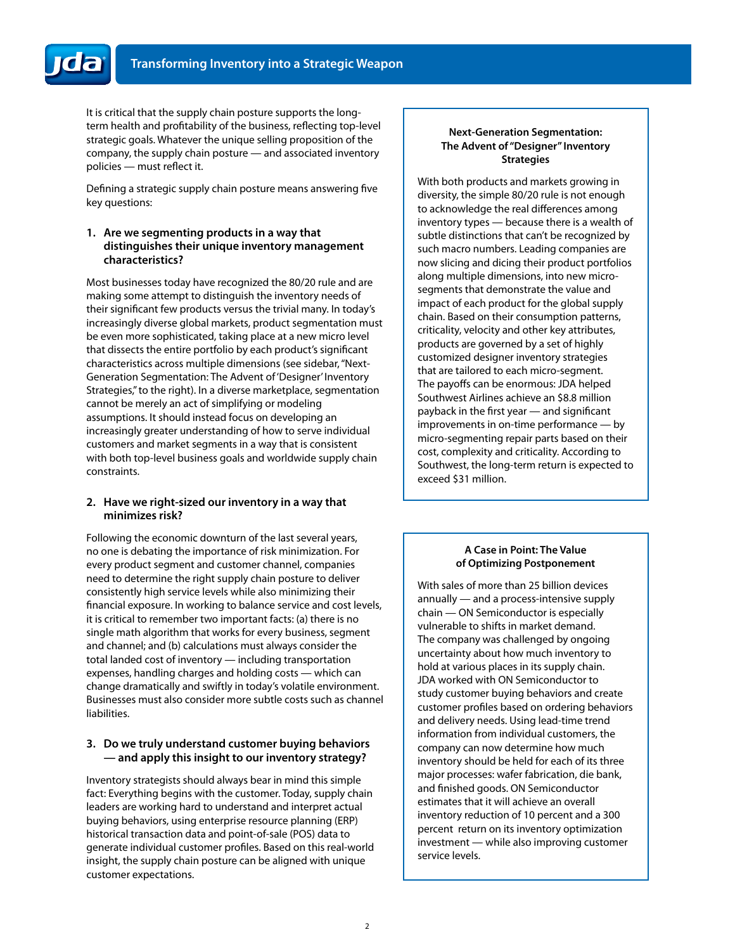It is critical that the supply chain posture supports the longterm health and profitability of the business, reflecting top-level strategic goals. Whatever the unique selling proposition of the company, the supply chain posture — and associated inventory policies — must reflect it.

Defining a strategic supply chain posture means answering five key questions:

#### **1. Are we segmenting products in a way that distinguishes their unique inventory management characteristics?**

Most businesses today have recognized the 80/20 rule and are making some attempt to distinguish the inventory needs of their significant few products versus the trivial many. In today's increasingly diverse global markets, product segmentation must be even more sophisticated, taking place at a new micro level that dissects the entire portfolio by each product's significant characteristics across multiple dimensions (see sidebar, "Next-Generation Segmentation: The Advent of 'Designer' Inventory Strategies," to the right). In a diverse marketplace, segmentation cannot be merely an act of simplifying or modeling assumptions. It should instead focus on developing an increasingly greater understanding of how to serve individual customers and market segments in a way that is consistent with both top-level business goals and worldwide supply chain constraints.

#### **2. Have we right-sized our inventory in a way that minimizes risk?**

Following the economic downturn of the last several years, no one is debating the importance of risk minimization. For every product segment and customer channel, companies need to determine the right supply chain posture to deliver consistently high service levels while also minimizing their financial exposure. In working to balance service and cost levels, it is critical to remember two important facts: (a) there is no single math algorithm that works for every business, segment and channel; and (b) calculations must always consider the total landed cost of inventory — including transportation expenses, handling charges and holding costs — which can change dramatically and swiftly in today's volatile environment. Businesses must also consider more subtle costs such as channel liabilities.

#### **3. Do we truly understand customer buying behaviors — and apply this insight to our inventory strategy?**

Inventory strategists should always bear in mind this simple fact: Everything begins with the customer. Today, supply chain leaders are working hard to understand and interpret actual buying behaviors, using enterprise resource planning (ERP) historical transaction data and point-of-sale (POS) data to generate individual customer profiles. Based on this real-world insight, the supply chain posture can be aligned with unique customer expectations.

#### **Next-Generation Segmentation: The Advent of "Designer" Inventory Strategies**

With both products and markets growing in diversity, the simple 80/20 rule is not enough to acknowledge the real differences among inventory types — because there is a wealth of subtle distinctions that can't be recognized by such macro numbers. Leading companies are now slicing and dicing their product portfolios along multiple dimensions, into new microsegments that demonstrate the value and impact of each product for the global supply chain. Based on their consumption patterns, criticality, velocity and other key attributes, products are governed by a set of highly customized designer inventory strategies that are tailored to each micro-segment. The payoffs can be enormous: JDA helped Southwest Airlines achieve an \$8.8 million payback in the first year — and significant improvements in on-time performance — by micro-segmenting repair parts based on their cost, complexity and criticality. According to Southwest, the long-term return is expected to exceed \$31 million.

#### **A Case in Point: The Value of Optimizing Postponement**

With sales of more than 25 billion devices annually — and a process-intensive supply chain — ON Semiconductor is especially vulnerable to shifts in market demand. The company was challenged by ongoing uncertainty about how much inventory to hold at various places in its supply chain. JDA worked with ON Semiconductor to study customer buying behaviors and create customer profiles based on ordering behaviors and delivery needs. Using lead-time trend information from individual customers, the company can now determine how much inventory should be held for each of its three major processes: wafer fabrication, die bank, and finished goods. ON Semiconductor estimates that it will achieve an overall inventory reduction of 10 percent and a 300 percent return on its inventory optimization investment — while also improving customer service levels.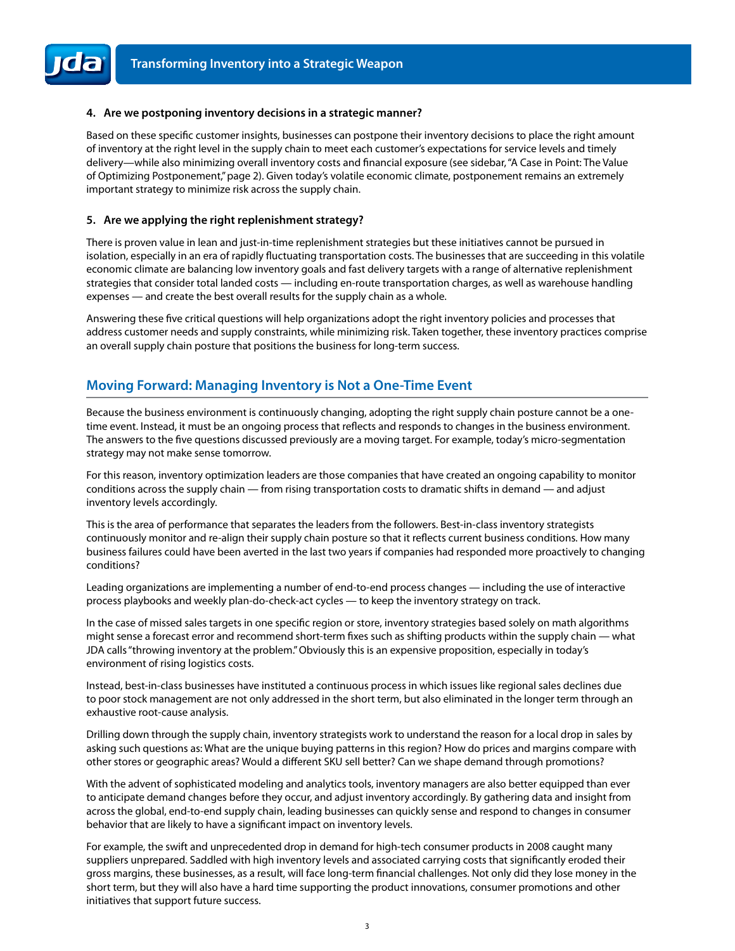#### **4. Are we postponing inventory decisions in a strategic manner?**

Based on these specific customer insights, businesses can postpone their inventory decisions to place the right amount of inventory at the right level in the supply chain to meet each customer's expectations for service levels and timely delivery—while also minimizing overall inventory costs and financial exposure (see sidebar, "A Case in Point: The Value of Optimizing Postponement," page 2). Given today's volatile economic climate, postponement remains an extremely important strategy to minimize risk across the supply chain.

#### **5. Are we applying the right replenishment strategy?**

There is proven value in lean and just-in-time replenishment strategies but these initiatives cannot be pursued in isolation, especially in an era of rapidly fluctuating transportation costs. The businesses that are succeeding in this volatile economic climate are balancing low inventory goals and fast delivery targets with a range of alternative replenishment strategies that consider total landed costs — including en-route transportation charges, as well as warehouse handling expenses — and create the best overall results for the supply chain as a whole.

Answering these five critical questions will help organizations adopt the right inventory policies and processes that address customer needs and supply constraints, while minimizing risk. Taken together, these inventory practices comprise an overall supply chain posture that positions the business for long-term success.

## **Moving Forward: Managing Inventory is Not a One-Time Event**

Because the business environment is continuously changing, adopting the right supply chain posture cannot be a onetime event. Instead, it must be an ongoing process that reflects and responds to changes in the business environment. The answers to the five questions discussed previously are a moving target. For example, today's micro-segmentation strategy may not make sense tomorrow.

For this reason, inventory optimization leaders are those companies that have created an ongoing capability to monitor conditions across the supply chain — from rising transportation costs to dramatic shifts in demand — and adjust inventory levels accordingly.

This is the area of performance that separates the leaders from the followers. Best-in-class inventory strategists continuously monitor and re-align their supply chain posture so that it reflects current business conditions. How many business failures could have been averted in the last two years if companies had responded more proactively to changing conditions?

Leading organizations are implementing a number of end-to-end process changes — including the use of interactive process playbooks and weekly plan-do-check-act cycles — to keep the inventory strategy on track.

In the case of missed sales targets in one specific region or store, inventory strategies based solely on math algorithms might sense a forecast error and recommend short-term fixes such as shifting products within the supply chain — what JDA calls "throwing inventory at the problem." Obviously this is an expensive proposition, especially in today's environment of rising logistics costs.

Instead, best-in-class businesses have instituted a continuous process in which issues like regional sales declines due to poor stock management are not only addressed in the short term, but also eliminated in the longer term through an exhaustive root-cause analysis.

Drilling down through the supply chain, inventory strategists work to understand the reason for a local drop in sales by asking such questions as: What are the unique buying patterns in this region? How do prices and margins compare with other stores or geographic areas? Would a different SKU sell better? Can we shape demand through promotions?

With the advent of sophisticated modeling and analytics tools, inventory managers are also better equipped than ever to anticipate demand changes before they occur, and adjust inventory accordingly. By gathering data and insight from across the global, end-to-end supply chain, leading businesses can quickly sense and respond to changes in consumer behavior that are likely to have a significant impact on inventory levels.

For example, the swift and unprecedented drop in demand for high-tech consumer products in 2008 caught many suppliers unprepared. Saddled with high inventory levels and associated carrying costs that significantly eroded their gross margins, these businesses, as a result, will face long-term financial challenges. Not only did they lose money in the short term, but they will also have a hard time supporting the product innovations, consumer promotions and other initiatives that support future success.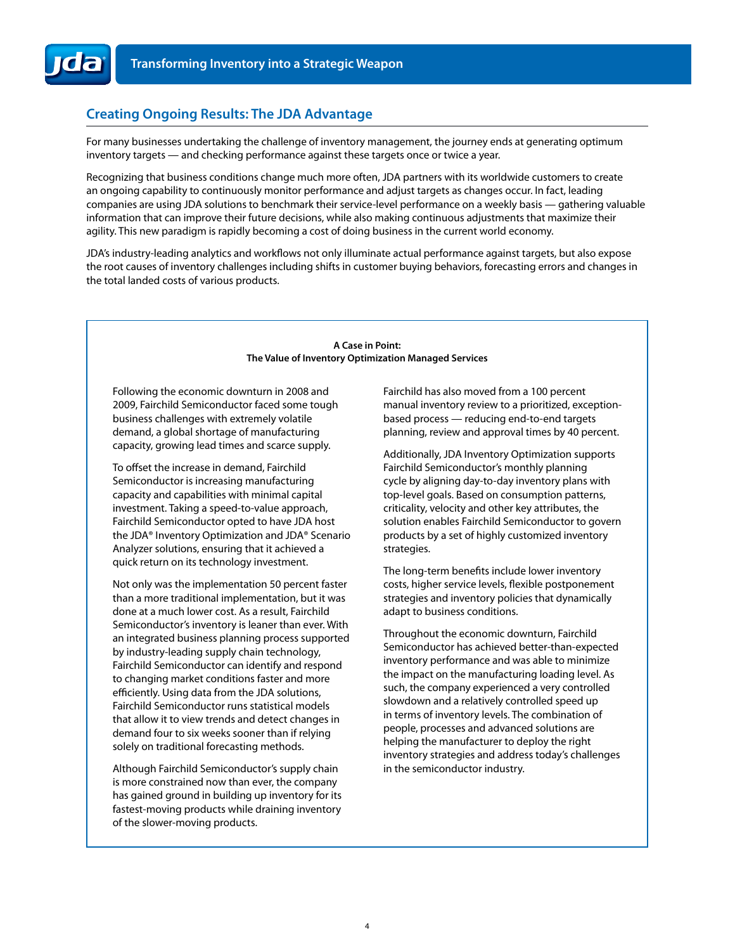

## **Creating Ongoing Results: The JDA Advantage**

For many businesses undertaking the challenge of inventory management, the journey ends at generating optimum inventory targets — and checking performance against these targets once or twice a year.

Recognizing that business conditions change much more often, JDA partners with its worldwide customers to create an ongoing capability to continuously monitor performance and adjust targets as changes occur. In fact, leading companies are using JDA solutions to benchmark their service-level performance on a weekly basis — gathering valuable information that can improve their future decisions, while also making continuous adjustments that maximize their agility. This new paradigm is rapidly becoming a cost of doing business in the current world economy.

JDA's industry-leading analytics and workflows not only illuminate actual performance against targets, but also expose the root causes of inventory challenges including shifts in customer buying behaviors, forecasting errors and changes in the total landed costs of various products.

#### **A Case in Point: The Value of Inventory Optimization Managed Services**

Following the economic downturn in 2008 and 2009, Fairchild Semiconductor faced some tough business challenges with extremely volatile demand, a global shortage of manufacturing capacity, growing lead times and scarce supply.

To offset the increase in demand, Fairchild Semiconductor is increasing manufacturing capacity and capabilities with minimal capital investment. Taking a speed-to-value approach, Fairchild Semiconductor opted to have JDA host the JDA® Inventory Optimization and JDA® Scenario Analyzer solutions, ensuring that it achieved a quick return on its technology investment.

Not only was the implementation 50 percent faster than a more traditional implementation, but it was done at a much lower cost. As a result, Fairchild Semiconductor's inventory is leaner than ever. With an integrated business planning process supported by industry-leading supply chain technology, Fairchild Semiconductor can identify and respond to changing market conditions faster and more efficiently. Using data from the JDA solutions, Fairchild Semiconductor runs statistical models that allow it to view trends and detect changes in demand four to six weeks sooner than if relying solely on traditional forecasting methods.

Although Fairchild Semiconductor's supply chain is more constrained now than ever, the company has gained ground in building up inventory for its fastest-moving products while draining inventory of the slower-moving products.

Fairchild has also moved from a 100 percent manual inventory review to a prioritized, exceptionbased process — reducing end-to-end targets planning, review and approval times by 40 percent.

Additionally, JDA Inventory Optimization supports Fairchild Semiconductor's monthly planning cycle by aligning day-to-day inventory plans with top-level goals. Based on consumption patterns, criticality, velocity and other key attributes, the solution enables Fairchild Semiconductor to govern products by a set of highly customized inventory strategies.

The long-term benefits include lower inventory costs, higher service levels, flexible postponement strategies and inventory policies that dynamically adapt to business conditions.

Throughout the economic downturn, Fairchild Semiconductor has achieved better-than-expected inventory performance and was able to minimize the impact on the manufacturing loading level. As such, the company experienced a very controlled slowdown and a relatively controlled speed up in terms of inventory levels. The combination of people, processes and advanced solutions are helping the manufacturer to deploy the right inventory strategies and address today's challenges in the semiconductor industry.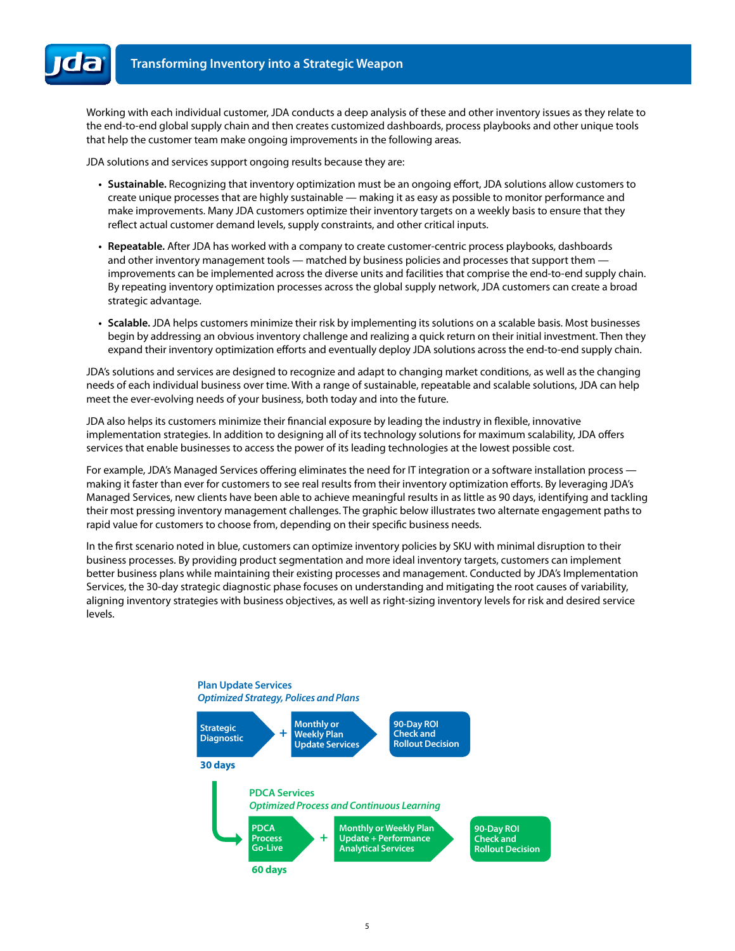Working with each individual customer, JDA conducts a deep analysis of these and other inventory issues as they relate to the end-to-end global supply chain and then creates customized dashboards, process playbooks and other unique tools that help the customer team make ongoing improvements in the following areas.

JDA solutions and services support ongoing results because they are:

- **• Sustainable.** Recognizing that inventory optimization must be an ongoing effort, JDA solutions allow customers to create unique processes that are highly sustainable — making it as easy as possible to monitor performance and make improvements. Many JDA customers optimize their inventory targets on a weekly basis to ensure that they reflect actual customer demand levels, supply constraints, and other critical inputs.
- **• Repeatable.** After JDA has worked with a company to create customer-centric process playbooks, dashboards and other inventory management tools — matched by business policies and processes that support them improvements can be implemented across the diverse units and facilities that comprise the end-to-end supply chain. By repeating inventory optimization processes across the global supply network, JDA customers can create a broad strategic advantage.
- **• Scalable.** JDA helps customers minimize their risk by implementing its solutions on a scalable basis. Most businesses begin by addressing an obvious inventory challenge and realizing a quick return on their initial investment. Then they expand their inventory optimization efforts and eventually deploy JDA solutions across the end-to-end supply chain.

JDA's solutions and services are designed to recognize and adapt to changing market conditions, as well as the changing needs of each individual business over time. With a range of sustainable, repeatable and scalable solutions, JDA can help meet the ever-evolving needs of your business, both today and into the future.

JDA also helps its customers minimize their financial exposure by leading the industry in flexible, innovative implementation strategies. In addition to designing all of its technology solutions for maximum scalability, JDA offers services that enable businesses to access the power of its leading technologies at the lowest possible cost.

For example, JDA's Managed Services offering eliminates the need for IT integration or a software installation process making it faster than ever for customers to see real results from their inventory optimization efforts. By leveraging JDA's Managed Services, new clients have been able to achieve meaningful results in as little as 90 days, identifying and tackling their most pressing inventory management challenges. The graphic below illustrates two alternate engagement paths to rapid value for customers to choose from, depending on their specific business needs.

In the first scenario noted in blue, customers can optimize inventory policies by SKU with minimal disruption to their business processes. By providing product segmentation and more ideal inventory targets, customers can implement better business plans while maintaining their existing processes and management. Conducted by JDA's Implementation Services, the 30-day strategic diagnostic phase focuses on understanding and mitigating the root causes of variability, aligning inventory strategies with business objectives, as well as right-sizing inventory levels for risk and desired service levels.

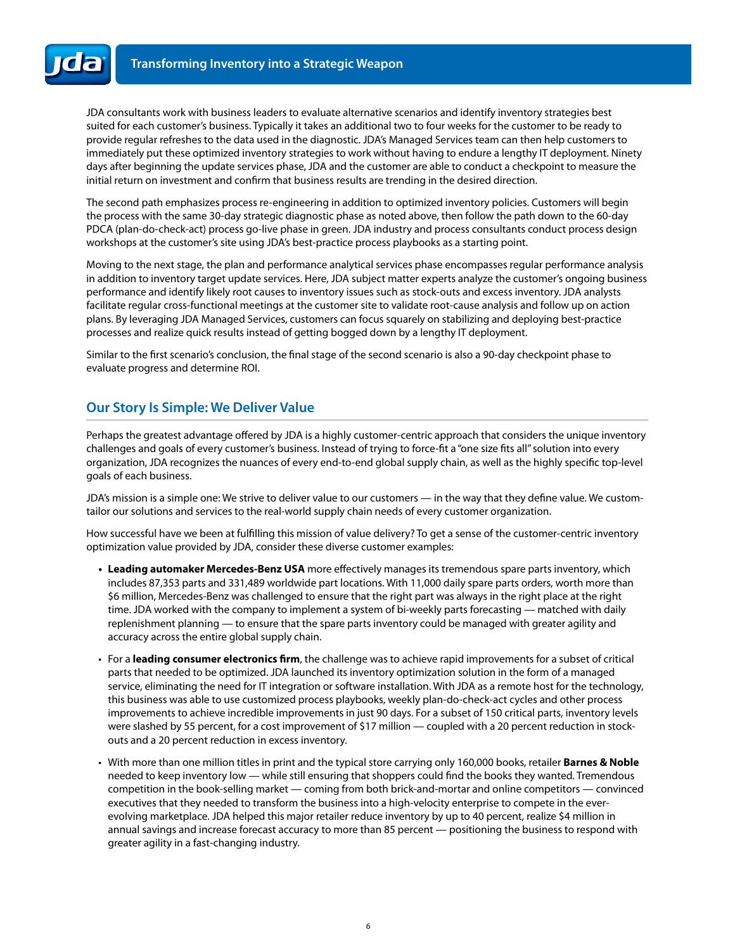JDA consultants work with business leaders to evaluate alternative scenarios and identify inventory strategies best suited for each customer's business. Typically it takes an additional two to four weeks for the customer to be ready to provide regular refreshes to the data used in the diagnostic. JDA's Managed Services team can then help customers to immediately put these optimized inventory strategies to work without having to endure a lengthy IT deployment. Ninety days after beginning the update services phase, JDA and the customer are able to conduct a checkpoint to measure the initial return on investment and confirm that business results are trending in the desired direction.

The second path emphasizes process re-engineering in addition to optimized inventory policies. Customers will begin the process with the same 30-day strategic diagnostic phase as noted above, then follow the path down to the 60-day PDCA (plan-do-check-act) process go-live phase in green. JDA industry and process consultants conduct process design workshops at the customer's site using JDA's best-practice process playbooks as a starting point.

Moving to the next stage, the plan and performance analytical services phase encompasses regular performance analysis in addition to inventory target update services. Here, JDA subject matter experts analyze the customer's ongoing business performance and identify likely root causes to inventory issues such as stock-outs and excess inventory. JDA analysts facilitate regular cross-functional meetings at the customer site to validate root-cause analysis and follow up on action plans. By leveraging JDA Managed Services, customers can focus squarely on stabilizing and deploying best-practice processes and realize quick results instead of getting bogged down by a lengthy IT deployment.

Similar to the first scenario's conclusion, the final stage of the second scenario is also a 90-day checkpoint phase to evaluate progress and determine ROI.

### **Our Story Is Simple: We Deliver Value**

Perhaps the greatest advantage offered by JDA is a highly customer-centric approach that considers the unique inventory challenges and goals of every customer's business. Instead of trying to force-fit a "one size fits all" solution into every organization, JDA recognizes the nuances of every end-to-end global supply chain, as well as the highly specific top-level goals of each business.

JDA's mission is a simple one: We strive to deliver value to our customers — in the way that they define value. We customtailor our solutions and services to the real-world supply chain needs of every customer organization.

How successful have we been at fulfilling this mission of value delivery? To get a sense of the customer-centric inventory optimization value provided by JDA, consider these diverse customer examples:

- **• Leading automaker Mercedes-Benz USA** more effectively manages its tremendous spare parts inventory, which includes 87,353 parts and 331,489 worldwide part locations. With 11,000 daily spare parts orders, worth more than \$6 million, Mercedes-Benz was challenged to ensure that the right part was always in the right place at the right time. JDA worked with the company to implement a system of bi-weekly parts forecasting — matched with daily replenishment planning — to ensure that the spare parts inventory could be managed with greater agility and accuracy across the entire global supply chain.
- • For a **leading consumer electronics firm**, the challenge was to achieve rapid improvements for a subset of critical parts that needed to be optimized. JDA launched its inventory optimization solution in the form of a managed service, eliminating the need for IT integration or software installation. With JDA as a remote host for the technology, this business was able to use customized process playbooks, weekly plan-do-check-act cycles and other process improvements to achieve incredible improvements in just 90 days. For a subset of 150 critical parts, inventory levels were slashed by 55 percent, for a cost improvement of \$17 million — coupled with a 20 percent reduction in stockouts and a 20 percent reduction in excess inventory.
- With more than one million titles in print and the typical store carrying only 160,000 books, retailer **Barnes & Noble** needed to keep inventory low — while still ensuring that shoppers could find the books they wanted. Tremendous competition in the book-selling market — coming from both brick-and-mortar and online competitors — convinced executives that they needed to transform the business into a high-velocity enterprise to compete in the everevolving marketplace. JDA helped this major retailer reduce inventory by up to 40 percent, realize \$4 million in annual savings and increase forecast accuracy to more than 85 percent — positioning the business to respond with greater agility in a fast-changing industry.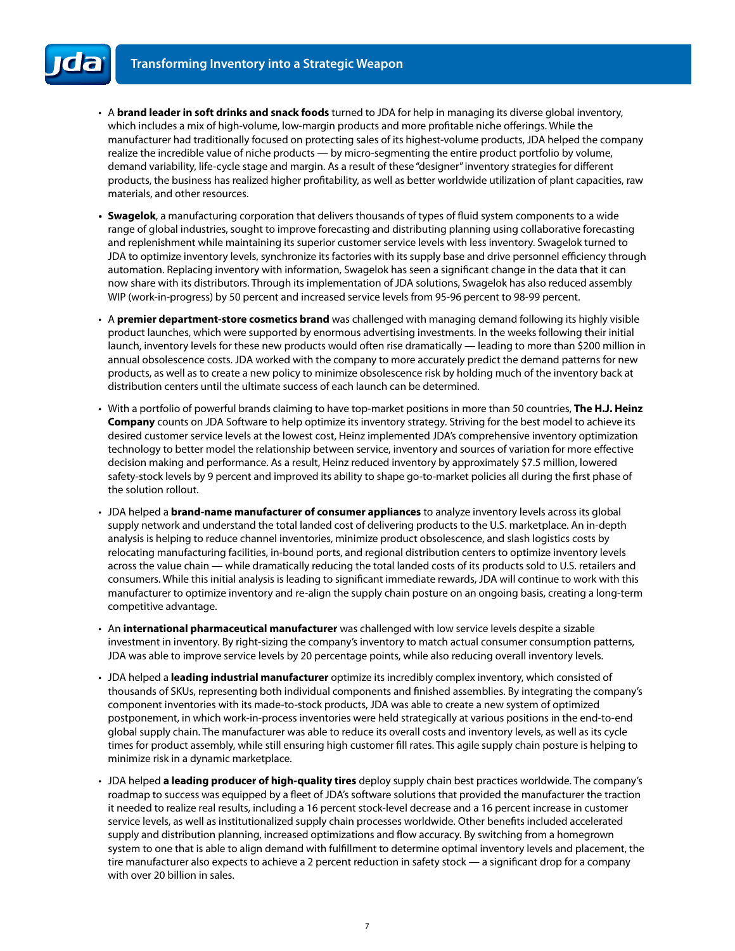- • A **brand leader in soft drinks and snack foods** turned to JDA for help in managing its diverse global inventory, which includes a mix of high-volume, low-margin products and more profitable niche offerings. While the manufacturer had traditionally focused on protecting sales of its highest-volume products, JDA helped the company realize the incredible value of niche products — by micro-segmenting the entire product portfolio by volume, demand variability, life-cycle stage and margin. As a result of these "designer" inventory strategies for different products, the business has realized higher profitability, as well as better worldwide utilization of plant capacities, raw materials, and other resources.
- **• Swagelok**, a manufacturing corporation that delivers thousands of types of fluid system components to a wide range of global industries, sought to improve forecasting and distributing planning using collaborative forecasting and replenishment while maintaining its superior customer service levels with less inventory. Swagelok turned to JDA to optimize inventory levels, synchronize its factories with its supply base and drive personnel efficiency through automation. Replacing inventory with information, Swagelok has seen a significant change in the data that it can now share with its distributors. Through its implementation of JDA solutions, Swagelok has also reduced assembly WIP (work-in-progress) by 50 percent and increased service levels from 95-96 percent to 98-99 percent.
- • A **premier department-store cosmetics brand** was challenged with managing demand following its highly visible product launches, which were supported by enormous advertising investments. In the weeks following their initial launch, inventory levels for these new products would often rise dramatically — leading to more than \$200 million in annual obsolescence costs. JDA worked with the company to more accurately predict the demand patterns for new products, as well as to create a new policy to minimize obsolescence risk by holding much of the inventory back at distribution centers until the ultimate success of each launch can be determined.
- With a portfolio of powerful brands claiming to have top-market positions in more than 50 countries, **The H.J. Heinz Company** counts on JDA Software to help optimize its inventory strategy. Striving for the best model to achieve its desired customer service levels at the lowest cost, Heinz implemented JDA's comprehensive inventory optimization technology to better model the relationship between service, inventory and sources of variation for more effective decision making and performance. As a result, Heinz reduced inventory by approximately \$7.5 million, lowered safety-stock levels by 9 percent and improved its ability to shape go-to-market policies all during the first phase of the solution rollout.
- • JDA helped a **brand-name manufacturer of consumer appliances** to analyze inventory levels across its global supply network and understand the total landed cost of delivering products to the U.S. marketplace. An in-depth analysis is helping to reduce channel inventories, minimize product obsolescence, and slash logistics costs by relocating manufacturing facilities, in-bound ports, and regional distribution centers to optimize inventory levels across the value chain — while dramatically reducing the total landed costs of its products sold to U.S. retailers and consumers. While this initial analysis is leading to significant immediate rewards, JDA will continue to work with this manufacturer to optimize inventory and re-align the supply chain posture on an ongoing basis, creating a long-term competitive advantage.
- • An **international pharmaceutical manufacturer** was challenged with low service levels despite a sizable investment in inventory. By right-sizing the company's inventory to match actual consumer consumption patterns, JDA was able to improve service levels by 20 percentage points, while also reducing overall inventory levels.
- • JDA helped a **leading industrial manufacturer** optimize its incredibly complex inventory, which consisted of thousands of SKUs, representing both individual components and finished assemblies. By integrating the company's component inventories with its made-to-stock products, JDA was able to create a new system of optimized postponement, in which work-in-process inventories were held strategically at various positions in the end-to-end global supply chain. The manufacturer was able to reduce its overall costs and inventory levels, as well as its cycle times for product assembly, while still ensuring high customer fill rates. This agile supply chain posture is helping to minimize risk in a dynamic marketplace.
- • JDA helped **a leading producer of high-quality tires** deploy supply chain best practices worldwide. The company's roadmap to success was equipped by a fleet of JDA's software solutions that provided the manufacturer the traction it needed to realize real results, including a 16 percent stock-level decrease and a 16 percent increase in customer service levels, as well as institutionalized supply chain processes worldwide. Other benefits included accelerated supply and distribution planning, increased optimizations and flow accuracy. By switching from a homegrown system to one that is able to align demand with fulfillment to determine optimal inventory levels and placement, the tire manufacturer also expects to achieve a 2 percent reduction in safety stock — a significant drop for a company with over 20 billion in sales.